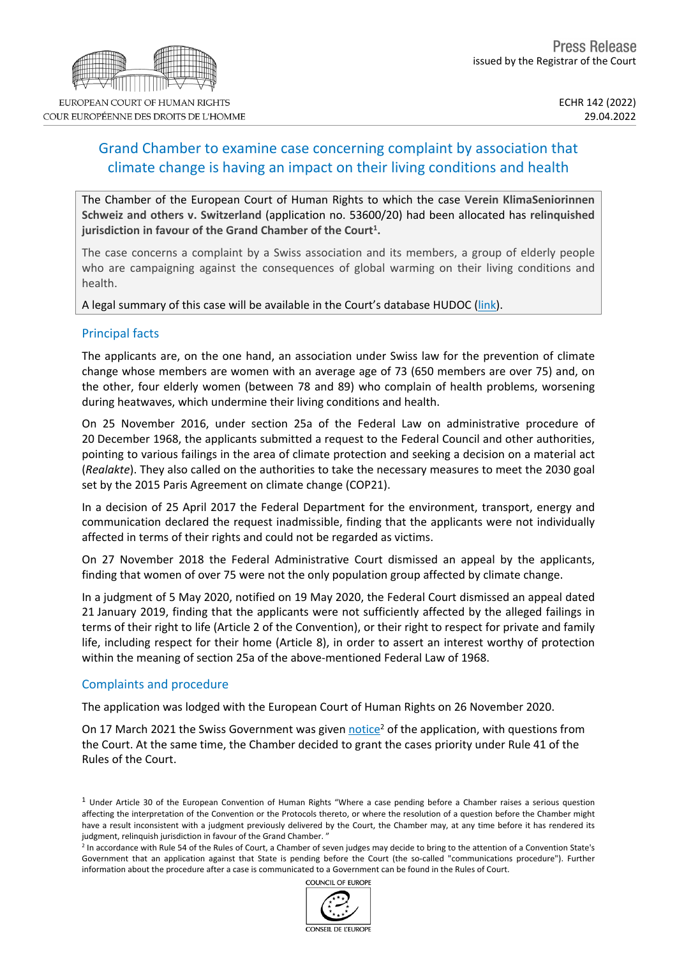## Grand Chamber to examine case concerning complaint by association that climate change is having an impact on their living conditions and health

The Chamber of the European Court of Human Rights to which the case **Verein KlimaSeniorinnen Schweiz and others v. Switzerland** (application no. 53600/20) had been allocated has **relinquished jurisdiction in favour of the Grand Chamber of the Court<sup>1</sup> .**

The case concerns a complaint by a Swiss association and its members, a group of elderly people who are campaigning against the consequences of global warming on their living conditions and health.

A legal summary of this case will be available in the Court's database HUDOC ([link](https://hudoc.echr.coe.int/eng#%7B)).

## Principal facts

The applicants are, on the one hand, an association under Swiss law for the prevention of climate change whose members are women with an average age of 73 (650 members are over 75) and, on the other, four elderly women (between 78 and 89) who complain of health problems, worsening during heatwaves, which undermine their living conditions and health.

On 25 November 2016, under section 25a of the Federal Law on administrative procedure of 20 December 1968, the applicants submitted a request to the Federal Council and other authorities, pointing to various failings in the area of climate protection and seeking a decision on a material act (*Realakte*). They also called on the authorities to take the necessary measures to meet the 2030 goal set by the 2015 Paris Agreement on climate change (COP21).

In a decision of 25 April 2017 the Federal Department for the environment, transport, energy and communication declared the request inadmissible, finding that the applicants were not individually affected in terms of their rights and could not be regarded as victims.

On 27 November 2018 the Federal Administrative Court dismissed an appeal by the applicants, finding that women of over 75 were not the only population group affected by climate change.

In a judgment of 5 May 2020, notified on 19 May 2020, the Federal Court dismissed an appeal dated 21 January 2019, finding that the applicants were not sufficiently affected by the alleged failings in terms of their right to life (Article 2 of the Convention), or their right to respect for private and family life, including respect for their home (Article 8), in order to assert an interest worthy of protection within the meaning of section 25a of the above-mentioned Federal Law of 1968.

## Complaints and procedure

The application was lodged with the European Court of Human Rights on 26 November 2020.

On 17 March 2021 the Swiss Government was given [notice](https://hudoc.echr.coe.int/eng?i=001-209313)<sup>2</sup> of the application, with questions from the Court. At the same time, the Chamber decided to grant the cases priority under Rule 41 of the Rules of the Court.

COUNCIL OF FUROPE



<sup>1</sup> Under Article 30 of the European Convention of Human Rights "Where a case pending before a Chamber raises a serious question affecting the interpretation of the Convention or the Protocols thereto, or where the resolution of a question before the Chamber might have a result inconsistent with a judgment previously delivered by the Court, the Chamber may, at any time before it has rendered its judgment, relinquish jurisdiction in favour of the Grand Chamber.'

<sup>&</sup>lt;sup>2</sup> In accordance with Rule 54 of the Rules of Court, a Chamber of seven judges may decide to bring to the attention of a Convention State's Government that an application against that State is pending before the Court (the so-called "communications procedure"). Further information about the procedure after a case is communicated to a Government can be found in the Rules of Court.